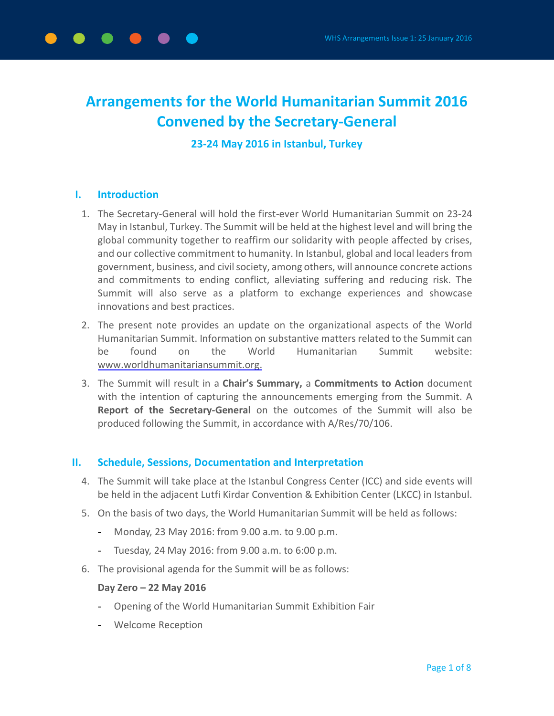

## **23-24 May 2016 in Istanbul, Turkey**

#### **I. Introduction**

- 1. The Secretary-General will hold the first-ever World Humanitarian Summit on 23-24 May in Istanbul, Turkey. The Summit will be held at the highest level and will bring the global community together to reaffirm our solidarity with people affected by crises, and our collective commitment to humanity. In Istanbul, global and local leaders from government, business, and civil society, among others, will announce concrete actions and commitments to ending conflict, alleviating suffering and reducing risk. The Summit will also serve as a platform to exchange experiences and showcase innovations and best practices.
- 2. The present note provides an update on the organizational aspects of the World Humanitarian Summit. Information on substantive matters related to the Summit can be found on the World Humanitarian Summit website: [www.worldhumanitariansummit.org.](http://www.worldhumanitariansummit.org/)
- 3. The Summit will result in a **Chair's Summary,** a **Commitments to Action** document with the intention of capturing the announcements emerging from the Summit. A **Report of the Secretary-General** on the outcomes of the Summit will also be produced following the Summit, in accordance with A/Res/70/106.

#### **II. Schedule, Sessions, Documentation and Interpretation**

- 4. The Summit will take place at the Istanbul Congress Center (ICC) and side events will be held in the adjacent Lutfi Kirdar Convention & Exhibition Center (LKCC) in Istanbul.
- 5. On the basis of two days, the World Humanitarian Summit will be held as follows:
	- Monday, 23 May 2016: from 9.00 a.m. to 9.00 p.m.
	- Tuesday, 24 May 2016: from 9.00 a.m. to 6:00 p.m.
- 6. The provisional agenda for the Summit will be as follows:

#### **Day Zero – 22 May 2016**

- Opening of the World Humanitarian Summit Exhibition Fair
- Welcome Reception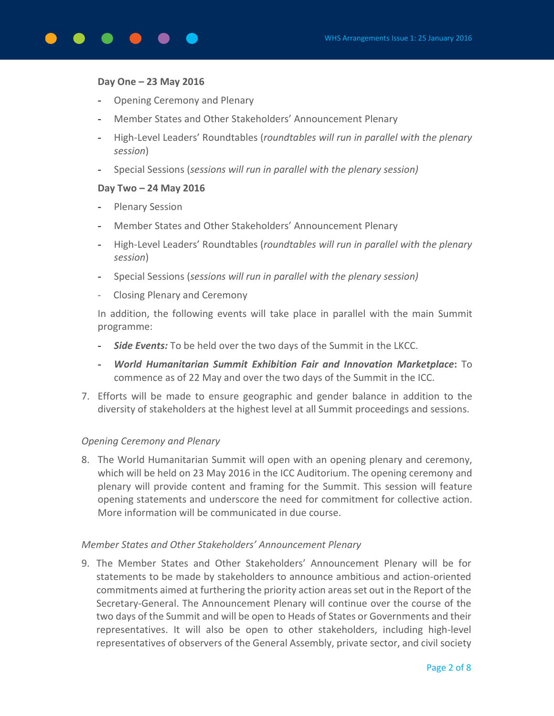

#### **Day One – 23 May 2016**

- Opening Ceremony and Plenary
- Member States and Other Stakeholders' Announcement Plenary
- High-Level Leaders' Roundtables (*roundtables will run in parallel with the plenary session*)
- Special Sessions (*sessions will run in parallel with the plenary session)*

#### **Day Two – 24 May 2016**

- Plenary Session
- Member States and Other Stakeholders' Announcement Plenary
- High-Level Leaders' Roundtables (*roundtables will run in parallel with the plenary session*)
- Special Sessions (*sessions will run in parallel with the plenary session)*
- Closing Plenary and Ceremony

In addition, the following events will take place in parallel with the main Summit programme:

- *Side Events:* To be held over the two days of the Summit in the LKCC.
- *World Humanitarian Summit Exhibition Fair and Innovation Marketplace***:** To commence as of 22 May and over the two days of the Summit in the ICC.
- 7. Efforts will be made to ensure geographic and gender balance in addition to the diversity of stakeholders at the highest level at all Summit proceedings and sessions.

## *Opening Ceremony and Plenary*

8. The World Humanitarian Summit will open with an opening plenary and ceremony, which will be held on 23 May 2016 in the ICC Auditorium. The opening ceremony and plenary will provide content and framing for the Summit. This session will feature opening statements and underscore the need for commitment for collective action. More information will be communicated in due course.

## *Member States and Other Stakeholders' Announcement Plenary*

9. The Member States and Other Stakeholders' Announcement Plenary will be for statements to be made by stakeholders to announce ambitious and action-oriented commitments aimed at furthering the priority action areasset out in the Report of the Secretary-General. The Announcement Plenary will continue over the course of the two days of the Summit and will be open to Heads of States or Governments and their representatives. It will also be open to other stakeholders, including high-level representatives of observers of the General Assembly, private sector, and civil society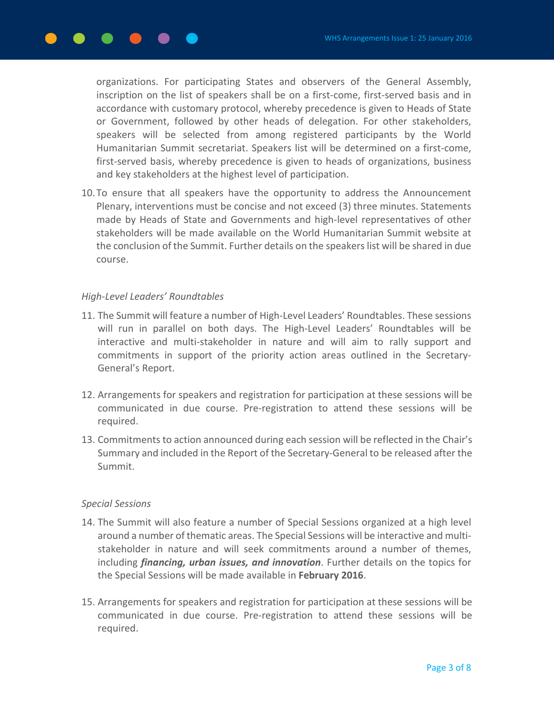organizations. For participating States and observers of the General Assembly, inscription on the list of speakers shall be on a first-come, first-served basis and in accordance with customary protocol, whereby precedence is given to Heads of State or Government, followed by other heads of delegation. For other stakeholders, speakers will be selected from among registered participants by the World Humanitarian Summit secretariat. Speakers list will be determined on a first-come, first-served basis, whereby precedence is given to heads of organizations, business and key stakeholders at the highest level of participation.

10.To ensure that all speakers have the opportunity to address the Announcement Plenary, interventions must be concise and not exceed (3) three minutes. Statements made by Heads of State and Governments and high-level representatives of other stakeholders will be made available on the World Humanitarian Summit website at the conclusion of the Summit. Further details on the speakerslist will be shared in due course.

## *High-Level Leaders' Roundtables*

- 11. The Summit will feature a number of High-Level Leaders' Roundtables. These sessions will run in parallel on both days. The High-Level Leaders' Roundtables will be interactive and multi-stakeholder in nature and will aim to rally support and commitments in support of the priority action areas outlined in the Secretary-General's Report.
- 12. Arrangements for speakers and registration for participation at these sessions will be communicated in due course. Pre-registration to attend these sessions will be required.
- 13. Commitments to action announced during each session will be reflected in the Chair's Summary and included in the Report of the Secretary-General to be released after the Summit.

#### *Special Sessions*

- 14. The Summit will also feature a number of Special Sessions organized at a high level around a number of thematic areas. The Special Sessions will be interactive and multistakeholder in nature and will seek commitments around a number of themes, including *financing, urban issues, and innovation*. Further details on the topics for the Special Sessions will be made available in **February 2016**.
- 15. Arrangements for speakers and registration for participation at these sessions will be communicated in due course. Pre-registration to attend these sessions will be required.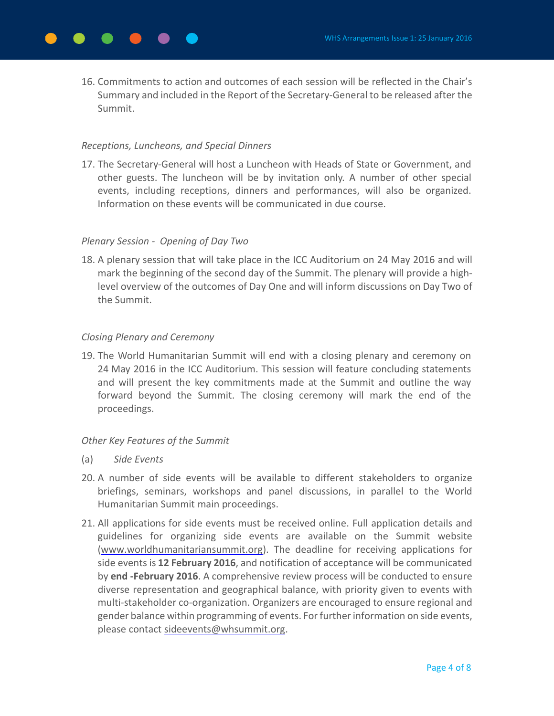16. Commitments to action and outcomes of each session will be reflected in the Chair's Summary and included in the Report of the Secretary-General to be released after the Summit.

### *Receptions, Luncheons, and Special Dinners*

17. The Secretary-General will host a Luncheon with Heads of State or Government, and other guests. The luncheon will be by invitation only. A number of other special events, including receptions, dinners and performances, will also be organized. Information on these events will be communicated in due course.

## *Plenary Session - Opening of Day Two*

18. A plenary session that will take place in the ICC Auditorium on 24 May 2016 and will mark the beginning of the second day of the Summit. The plenary will provide a highlevel overview of the outcomes of Day One and will inform discussions on Day Two of the Summit.

### *Closing Plenary and Ceremony*

19. The World Humanitarian Summit will end with a closing plenary and ceremony on 24 May 2016 in the ICC Auditorium. This session will feature concluding statements and will present the key commitments made at the Summit and outline the way forward beyond the Summit. The closing ceremony will mark the end of the proceedings.

## *Other Key Features of the Summit*

- (a) *Side Events*
- 20. A number of side events will be available to different stakeholders to organize briefings, seminars, workshops and panel discussions, in parallel to the World Humanitarian Summit main proceedings.
- 21. All applications for side events must be received online. Full application details and guidelines for organizing side events are available on the Summit website [\(www.worldhumanitariansummit.org\)](http://www.worldhumanitariansummit.org/). The deadline for receiving applications for side events is **12 February 2016**, and notification of acceptance will be communicated by **end -February 2016**. A comprehensive review process will be conducted to ensure diverse representation and geographical balance, with priority given to events with multi-stakeholder co-organization. Organizers are encouraged to ensure regional and gender balance within programming of events. For further information on side events, please contact [sideevents@whsummit.org.](mailto:sideevents@whsummit.org)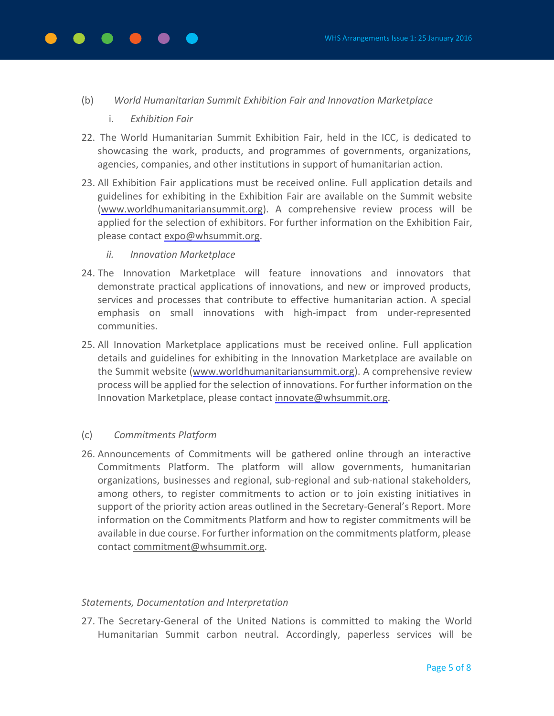#### (b) *World Humanitarian Summit Exhibition Fair and Innovation Marketplace*

- i. *Exhibition Fair*
- 22. The World Humanitarian Summit Exhibition Fair, held in the ICC, is dedicated to showcasing the work, products, and programmes of governments, organizations, agencies, companies, and other institutions in support of humanitarian action.
- 23. All Exhibition Fair applications must be received online. Full application details and guidelines for exhibiting in the Exhibition Fair are available on the Summit website [\(www.worldhumanitariansummit.org\)](http://www.worldhumanitariansummit.org/). A comprehensive review process will be applied for the selection of exhibitors. For further information on the Exhibition Fair, please contact [expo@whsummit.org.](mailto:expo@whsummit.org)
	- *ii. Innovation Marketplace*
- 24. The Innovation Marketplace will feature innovations and innovators that demonstrate practical applications of innovations, and new or improved products, services and processes that contribute to effective humanitarian action. A special emphasis on small innovations with high-impact from under-represented communities.
- 25. All Innovation Marketplace applications must be received online. Full application details and guidelines for exhibiting in the Innovation Marketplace are available on the Summit website [\(www.worldhumanitariansummit.org\)](http://www.worldhumanitariansummit.org/). A comprehensive review process will be applied for the selection of innovations. For further information on the Innovation Marketplace, please contact [innovate@whsummit.org.](mailto:innovate@whsummit.org)

## (c) *Commitments Platform*

26. Announcements of Commitments will be gathered online through an interactive Commitments Platform. The platform will allow governments, humanitarian organizations, businesses and regional, sub-regional and sub-national stakeholders, among others, to register commitments to action or to join existing initiatives in support of the priority action areas outlined in the Secretary-General's Report. More information on the Commitments Platform and how to register commitments will be available in due course. For further information on the commitments platform, please contact [commitment@whsummit.org.](mailto:commitment@whsummit.org)

#### *Statements, Documentation and Interpretation*

27. The Secretary-General of the United Nations is committed to making the World Humanitarian Summit carbon neutral. Accordingly, paperless services will be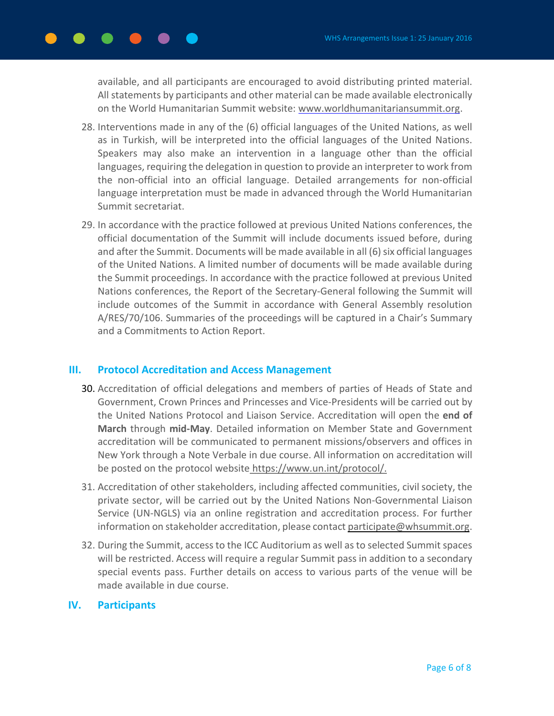available, and all participants are encouraged to avoid distributing printed material. All statements by participants and other material can be made available electronically on the World Humanitarian Summit website: [www.worldhumanitariansummit.org.](http://www.worldhumanitariansummit.org/)

- 28. Interventions made in any of the (6) official languages of the United Nations, as well as in Turkish, will be interpreted into the official languages of the United Nations. Speakers may also make an intervention in a language other than the official languages, requiring the delegation in question to provide an interpreter to work from the non-official into an official language. Detailed arrangements for non-official language interpretation must be made in advanced through the World Humanitarian Summit secretariat.
- 29. In accordance with the practice followed at previous United Nations conferences, the official documentation of the Summit will include documents issued before, during and after the Summit. Documents will be made available in all (6) six official languages of the United Nations. A limited number of documents will be made available during the Summit proceedings. In accordance with the practice followed at previous United Nations conferences, the Report of the Secretary-General following the Summit will include outcomes of the Summit in accordance with General Assembly resolution A/RES/70/106. Summaries of the proceedings will be captured in a Chair's Summary and a Commitments to Action Report.

## **III. Protocol Accreditation and Access Management**

- 30. Accreditation of official delegations and members of parties of Heads of State and Government, Crown Princes and Princesses and Vice-Presidents will be carried out by the United Nations Protocol and Liaison Service. Accreditation will open the **end of March** through **mid-May**. Detailed information on Member State and Government accreditation will be communicated to permanent missions/observers and offices in New York through a Note Verbale in due course. All information on accreditation will be posted on the protocol website https://www.un.int/protocol/.
- 31. Accreditation of other stakeholders, including affected communities, civil society, the private sector, will be carried out by the United Nations Non-Governmental Liaison Service (UN-NGLS) via an online registration and accreditation process. For further information on stakeholder accreditation, please contact participate@whsummit.org.
- 32. During the Summit, access to the ICC Auditorium as well asto selected Summit spaces will be restricted. Access will require a regular Summit pass in addition to a secondary special events pass. Further details on access to various parts of the venue will be made available in due course.

## **IV. Participants**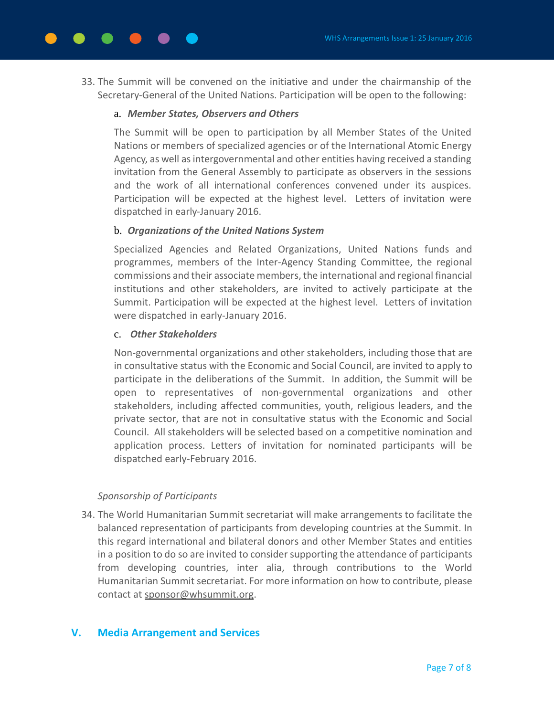33. The Summit will be convened on the initiative and under the chairmanship of the Secretary-General of the United Nations. Participation will be open to the following:

## a. *Member States, Observers and Others*

The Summit will be open to participation by all Member States of the United Nations or members of specialized agencies or of the International Atomic Energy Agency, as well as intergovernmental and other entities having received a standing invitation from the General Assembly to participate as observers in the sessions and the work of all international conferences convened under its auspices. Participation will be expected at the highest level. Letters of invitation were dispatched in early-January 2016.

# b. *Organizations of the United Nations System*

Specialized Agencies and Related Organizations, United Nations funds and programmes, members of the Inter-Agency Standing Committee, the regional commissions and their associate members, the international and regional financial institutions and other stakeholders, are invited to actively participate at the Summit. Participation will be expected at the highest level. Letters of invitation were dispatched in early-January 2016.

# c. *Other Stakeholders*

Non-governmental organizations and other stakeholders, including those that are in consultative status with the Economic and Social Council, are invited to apply to participate in the deliberations of the Summit. In addition, the Summit will be open to representatives of non-governmental organizations and other stakeholders, including affected communities, youth, religious leaders, and the private sector, that are not in consultative status with the Economic and Social Council. All stakeholders will be selected based on a competitive nomination and application process. Letters of invitation for nominated participants will be dispatched early-February 2016.

# *Sponsorship of Participants*

34. The World Humanitarian Summit secretariat will make arrangements to facilitate the balanced representation of participants from developing countries at the Summit. In this regard international and bilateral donors and other Member States and entities in a position to do so are invited to considersupporting the attendance of participants from developing countries, inter alia, through contributions to the World Humanitarian Summit secretariat. For more information on how to contribute, please contact at [sponsor@whsummit.org.](mailto:sponsor@whsummit.org)

# **V. Media Arrangement and Services**